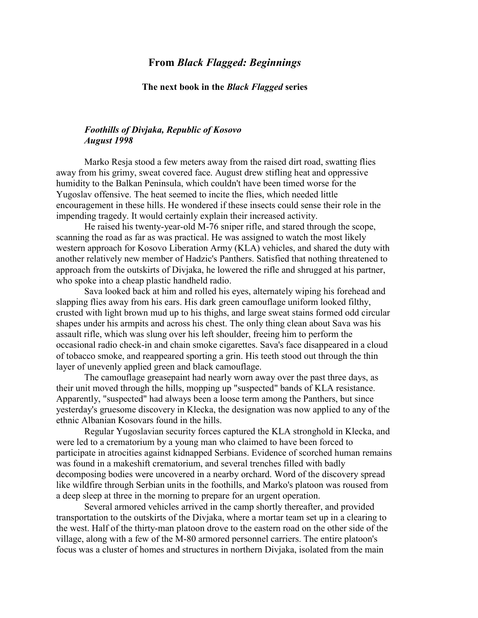## **From** *Black Flagged: Beginnings*

## **The next book in the** *Black Flagged* **series**

## *Foothills of Divjaka, Republic of Kosovo August 1998*

Marko Resja stood a few meters away from the raised dirt road, swatting flies away from his grimy, sweat covered face. August drew stifling heat and oppressive humidity to the Balkan Peninsula, which couldn't have been timed worse for the Yugoslav offensive. The heat seemed to incite the flies, which needed little encouragement in these hills. He wondered if these insects could sense their role in the impending tragedy. It would certainly explain their increased activity.

He raised his twenty-year-old M-76 sniper rifle, and stared through the scope, scanning the road as far as was practical. He was assigned to watch the most likely western approach for Kosovo Liberation Army (KLA) vehicles, and shared the duty with another relatively new member of Hadzic's Panthers. Satisfied that nothing threatened to approach from the outskirts of Divjaka, he lowered the rifle and shrugged at his partner, who spoke into a cheap plastic handheld radio.

Sava looked back at him and rolled his eyes, alternately wiping his forehead and slapping flies away from his ears. His dark green camouflage uniform looked filthy, crusted with light brown mud up to his thighs, and large sweat stains formed odd circular shapes under his armpits and across his chest. The only thing clean about Sava was his assault rifle, which was slung over his left shoulder, freeing him to perform the occasional radio check-in and chain smoke cigarettes. Sava's face disappeared in a cloud of tobacco smoke, and reappeared sporting a grin. His teeth stood out through the thin layer of unevenly applied green and black camouflage.

The camouflage greasepaint had nearly worn away over the past three days, as their unit moved through the hills, mopping up "suspected" bands of KLA resistance. Apparently, "suspected" had always been a loose term among the Panthers, but since yesterday's gruesome discovery in Klecka, the designation was now applied to any of the ethnic Albanian Kosovars found in the hills.

Regular Yugoslavian security forces captured the KLA stronghold in Klecka, and were led to a crematorium by a young man who claimed to have been forced to participate in atrocities against kidnapped Serbians. Evidence of scorched human remains was found in a makeshift crematorium, and several trenches filled with badly decomposing bodies were uncovered in a nearby orchard. Word of the discovery spread like wildfire through Serbian units in the foothills, and Marko's platoon was roused from a deep sleep at three in the morning to prepare for an urgent operation.

Several armored vehicles arrived in the camp shortly thereafter, and provided transportation to the outskirts of the Divjaka, where a mortar team set up in a clearing to the west. Half of the thirty-man platoon drove to the eastern road on the other side of the village, along with a few of the M-80 armored personnel carriers. The entire platoon's focus was a cluster of homes and structures in northern Divjaka, isolated from the main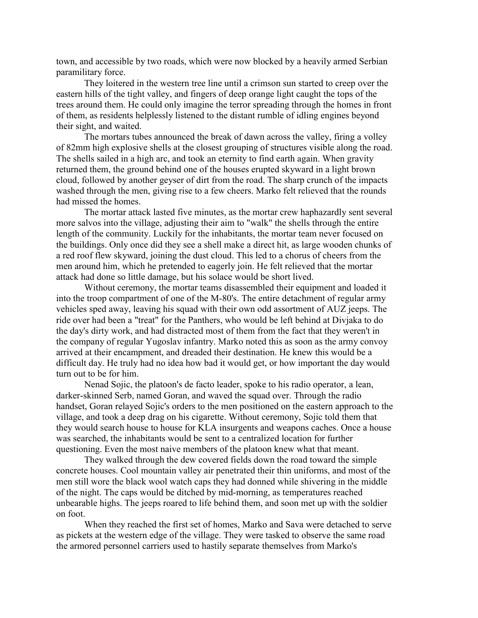town, and accessible by two roads, which were now blocked by a heavily armed Serbian paramilitary force.

They loitered in the western tree line until a crimson sun started to creep over the eastern hills of the tight valley, and fingers of deep orange light caught the tops of the trees around them. He could only imagine the terror spreading through the homes in front of them, as residents helplessly listened to the distant rumble of idling engines beyond their sight, and waited.

The mortars tubes announced the break of dawn across the valley, firing a volley of 82mm high explosive shells at the closest grouping of structures visible along the road. The shells sailed in a high arc, and took an eternity to find earth again. When gravity returned them, the ground behind one of the houses erupted skyward in a light brown cloud, followed by another geyser of dirt from the road. The sharp crunch of the impacts washed through the men, giving rise to a few cheers. Marko felt relieved that the rounds had missed the homes.

The mortar attack lasted five minutes, as the mortar crew haphazardly sent several more salvos into the village, adjusting their aim to "walk" the shells through the entire length of the community. Luckily for the inhabitants, the mortar team never focused on the buildings. Only once did they see a shell make a direct hit, as large wooden chunks of a red roof flew skyward, joining the dust cloud. This led to a chorus of cheers from the men around him, which he pretended to eagerly join. He felt relieved that the mortar attack had done so little damage, but his solace would be short lived.

Without ceremony, the mortar teams disassembled their equipment and loaded it into the troop compartment of one of the M-80's. The entire detachment of regular army vehicles sped away, leaving his squad with their own odd assortment of AUZ jeeps. The ride over had been a "treat" for the Panthers, who would be left behind at Divjaka to do the day's dirty work, and had distracted most of them from the fact that they weren't in the company of regular Yugoslav infantry. Marko noted this as soon as the army convoy arrived at their encampment, and dreaded their destination. He knew this would be a difficult day. He truly had no idea how bad it would get, or how important the day would turn out to be for him.

Nenad Sojic, the platoon's de facto leader, spoke to his radio operator, a lean, darker-skinned Serb, named Goran, and waved the squad over. Through the radio handset, Goran relayed Sojic's orders to the men positioned on the eastern approach to the village, and took a deep drag on his cigarette. Without ceremony, Sojic told them that they would search house to house for KLA insurgents and weapons caches. Once a house was searched, the inhabitants would be sent to a centralized location for further questioning. Even the most naive members of the platoon knew what that meant.

They walked through the dew covered fields down the road toward the simple concrete houses. Cool mountain valley air penetrated their thin uniforms, and most of the men still wore the black wool watch caps they had donned while shivering in the middle of the night. The caps would be ditched by mid-morning, as temperatures reached unbearable highs. The jeeps roared to life behind them, and soon met up with the soldier on foot.

When they reached the first set of homes, Marko and Sava were detached to serve as pickets at the western edge of the village. They were tasked to observe the same road the armored personnel carriers used to hastily separate themselves from Marko's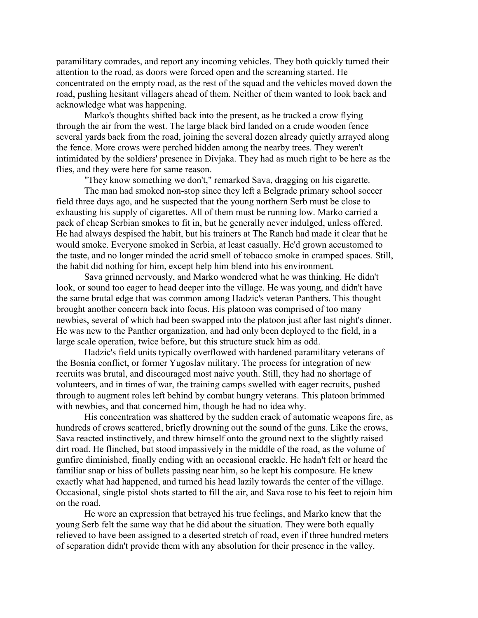paramilitary comrades, and report any incoming vehicles. They both quickly turned their attention to the road, as doors were forced open and the screaming started. He concentrated on the empty road, as the rest of the squad and the vehicles moved down the road, pushing hesitant villagers ahead of them. Neither of them wanted to look back and acknowledge what was happening.

Marko's thoughts shifted back into the present, as he tracked a crow flying through the air from the west. The large black bird landed on a crude wooden fence several yards back from the road, joining the several dozen already quietly arrayed along the fence. More crows were perched hidden among the nearby trees. They weren't intimidated by the soldiers' presence in Divjaka. They had as much right to be here as the flies, and they were here for same reason.

"They know something we don't," remarked Sava, dragging on his cigarette.

The man had smoked non-stop since they left a Belgrade primary school soccer field three days ago, and he suspected that the young northern Serb must be close to exhausting his supply of cigarettes. All of them must be running low. Marko carried a pack of cheap Serbian smokes to fit in, but he generally never indulged, unless offered. He had always despised the habit, but his trainers at The Ranch had made it clear that he would smoke. Everyone smoked in Serbia, at least casually. He'd grown accustomed to the taste, and no longer minded the acrid smell of tobacco smoke in cramped spaces. Still, the habit did nothing for him, except help him blend into his environment.

Sava grinned nervously, and Marko wondered what he was thinking. He didn't look, or sound too eager to head deeper into the village. He was young, and didn't have the same brutal edge that was common among Hadzic's veteran Panthers. This thought brought another concern back into focus. His platoon was comprised of too many newbies, several of which had been swapped into the platoon just after last night's dinner. He was new to the Panther organization, and had only been deployed to the field, in a large scale operation, twice before, but this structure stuck him as odd.

Hadzic's field units typically overflowed with hardened paramilitary veterans of the Bosnia conflict, or former Yugoslav military. The process for integration of new recruits was brutal, and discouraged most naive youth. Still, they had no shortage of volunteers, and in times of war, the training camps swelled with eager recruits, pushed through to augment roles left behind by combat hungry veterans. This platoon brimmed with newbies, and that concerned him, though he had no idea why.

His concentration was shattered by the sudden crack of automatic weapons fire, as hundreds of crows scattered, briefly drowning out the sound of the guns. Like the crows, Sava reacted instinctively, and threw himself onto the ground next to the slightly raised dirt road. He flinched, but stood impassively in the middle of the road, as the volume of gunfire diminished, finally ending with an occasional crackle. He hadn't felt or heard the familiar snap or hiss of bullets passing near him, so he kept his composure. He knew exactly what had happened, and turned his head lazily towards the center of the village. Occasional, single pistol shots started to fill the air, and Sava rose to his feet to rejoin him on the road.

He wore an expression that betrayed his true feelings, and Marko knew that the young Serb felt the same way that he did about the situation. They were both equally relieved to have been assigned to a deserted stretch of road, even if three hundred meters of separation didn't provide them with any absolution for their presence in the valley.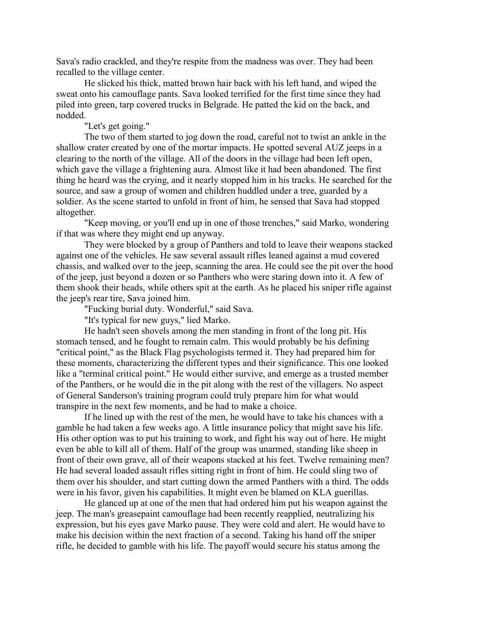Sava's radio crackled, and they're respite from the madness was over. They had been recalled to the village center.

He slicked his thick, matted brown hair back with his left hand, and wiped the sweat onto his camouflage pants. Sava looked terrified for the first time since they had piled into green, tarp covered trucks in Belgrade. He patted the kid on the back, and nodded.

"Let's get going."

The two of them started to jog down the road, careful not to twist an ankle in the shallow crater created by one of the mortar impacts. He spotted several AUZ jeeps in a clearing to the north of the village. All of the doors in the village had been left open, which gave the village a frightening aura. Almost like it had been abandoned. The first thing he heard was the crying, and it nearly stopped him in his tracks. He searched for the source, and saw a group of women and children huddled under a tree, guarded by a soldier. As the scene started to unfold in front of him, he sensed that Sava had stopped altogether.

"Keep moving, or you'll end up in one of those trenches," said Marko, wondering if that was where they might end up anyway.

They were blocked by a group of Panthers and told to leave their weapons stacked against one of the vehicles. He saw several assault rifles leaned against a mud covered chassis, and walked over to the jeep, scanning the area. He could see the pit over the hood of the jeep, just beyond a dozen or so Panthers who were staring down into it. A few of them shook their heads, while others spit at the earth. As he placed his sniper rifle against the jeep's rear tire, Sava joined him.

"Fucking burial duty. Wonderful," said Sava.

"It's typical for new guys," lied Marko.

He hadn't seen shovels among the men standing in front of the long pit. His stomach tensed, and he fought to remain calm. This would probably be his defining "critical point," as the Black Flag psychologists termed it. They had prepared him for these moments, characterizing the different types and their significance. This one looked like a "terminal critical point." He would either survive, and emerge as a trusted member of the Panthers, or he would die in the pit along with the rest of the villagers. No aspect of General Sanderson's training program could truly prepare him for what would transpire in the next few moments, and he had to make a choice.

If he lined up with the rest of the men, he would have to take his chances with a gamble he had taken a few weeks ago. A little insurance policy that might save his life. His other option was to put his training to work, and fight his way out of here. He might even be able to kill all of them. Half of the group was unarmed, standing like sheep in front of their own grave, all of their weapons stacked at his feet. Twelve remaining men? He had several loaded assault rifles sitting right in front of him. He could sling two of them over his shoulder, and start cutting down the armed Panthers with a third. The odds were in his favor, given his capabilities. It might even be blamed on KLA guerillas.

He glanced up at one of the men that had ordered him put his weapon against the jeep. The man's greasepaint camouflage had been recently reapplied, neutralizing his expression, but his eyes gave Marko pause. They were cold and alert. He would have to make his decision within the next fraction of a second. Taking his hand off the sniper rifle, he decided to gamble with his life. The payoff would secure his status among the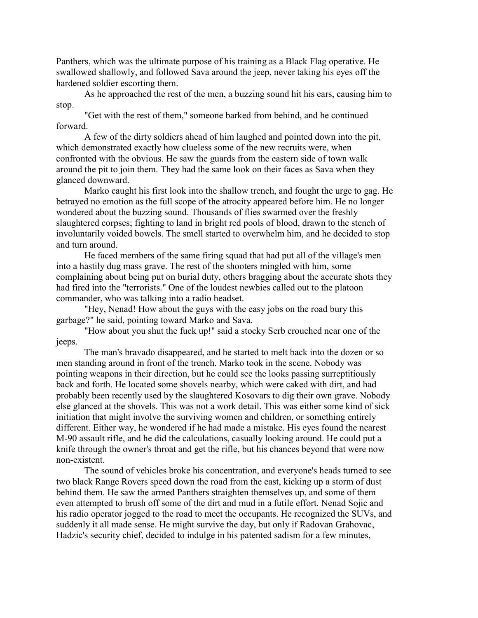Panthers, which was the ultimate purpose of his training as a Black Flag operative. He swallowed shallowly, and followed Sava around the jeep, never taking his eyes off the hardened soldier escorting them.

As he approached the rest of the men, a buzzing sound hit his ears, causing him to stop.

"Get with the rest of them," someone barked from behind, and he continued forward.

A few of the dirty soldiers ahead of him laughed and pointed down into the pit, which demonstrated exactly how clueless some of the new recruits were, when confronted with the obvious. He saw the guards from the eastern side of town walk around the pit to join them. They had the same look on their faces as Sava when they glanced downward.

Marko caught his first look into the shallow trench, and fought the urge to gag. He betrayed no emotion as the full scope of the atrocity appeared before him. He no longer wondered about the buzzing sound. Thousands of flies swarmed over the freshly slaughtered corpses; fighting to land in bright red pools of blood, drawn to the stench of involuntarily voided bowels. The smell started to overwhelm him, and he decided to stop and turn around.

He faced members of the same firing squad that had put all of the village's men into a hastily dug mass grave. The rest of the shooters mingled with him, some complaining about being put on burial duty, others bragging about the accurate shots they had fired into the "terrorists." One of the loudest newbies called out to the platoon commander, who was talking into a radio headset.

"Hey, Nenad! How about the guys with the easy jobs on the road bury this garbage?" he said, pointing toward Marko and Sava.

"How about you shut the fuck up!" said a stocky Serb crouched near one of the jeeps.

The man's bravado disappeared, and he started to melt back into the dozen or so men standing around in front of the trench. Marko took in the scene. Nobody was pointing weapons in their direction, but he could see the looks passing surreptitiously back and forth. He located some shovels nearby, which were caked with dirt, and had probably been recently used by the slaughtered Kosovars to dig their own grave. Nobody else glanced at the shovels. This was not a work detail. This was either some kind of sick initiation that might involve the surviving women and children, or something entirely different. Either way, he wondered if he had made a mistake. His eyes found the nearest M-90 assault rifle, and he did the calculations, casually looking around. He could put a knife through the owner's throat and get the rifle, but his chances beyond that were now non-existent.

The sound of vehicles broke his concentration, and everyone's heads turned to see two black Range Rovers speed down the road from the east, kicking up a storm of dust behind them. He saw the armed Panthers straighten themselves up, and some of them even attempted to brush off some of the dirt and mud in a futile effort. Nenad Sojic and his radio operator jogged to the road to meet the occupants. He recognized the SUVs, and suddenly it all made sense. He might survive the day, but only if Radovan Grahovac, Hadzic's security chief, decided to indulge in his patented sadism for a few minutes,